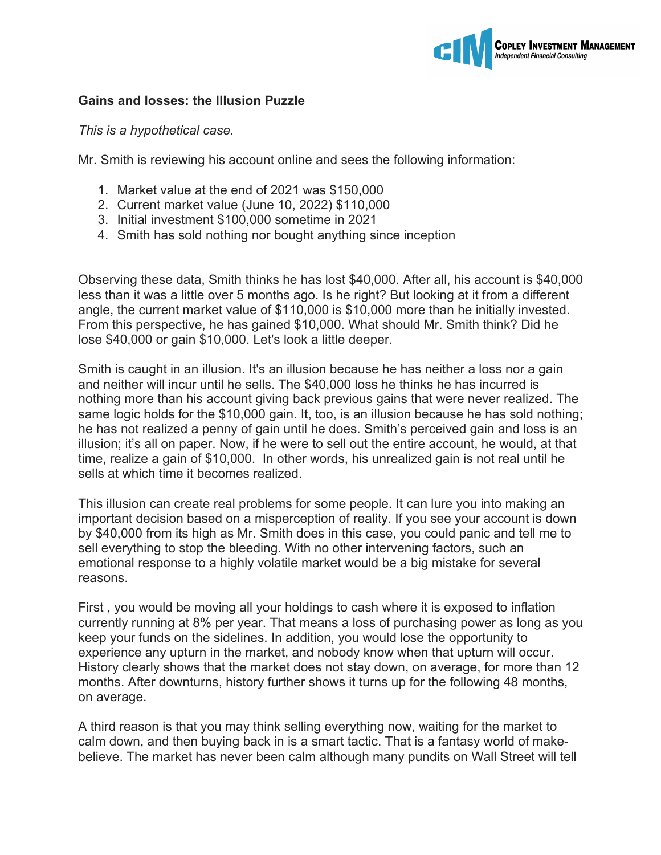

## **Gains and losses: the Illusion Puzzle**

## *This is a hypothetical case.*

Mr. Smith is reviewing his account online and sees the following information:

- 1. Market value at the end of 2021 was \$150,000
- 2. Current market value (June 10, 2022) \$110,000
- 3. Initial investment \$100,000 sometime in 2021
- 4. Smith has sold nothing nor bought anything since inception

Observing these data, Smith thinks he has lost \$40,000. After all, his account is \$40,000 less than it was a little over 5 months ago. Is he right? But looking at it from a different angle, the current market value of \$110,000 is \$10,000 more than he initially invested. From this perspective, he has gained \$10,000. What should Mr. Smith think? Did he lose \$40,000 or gain \$10,000. Let's look a little deeper.

Smith is caught in an illusion. It's an illusion because he has neither a loss nor a gain and neither will incur until he sells. The \$40,000 loss he thinks he has incurred is nothing more than his account giving back previous gains that were never realized. The same logic holds for the \$10,000 gain. It, too, is an illusion because he has sold nothing; he has not realized a penny of gain until he does. Smith's perceived gain and loss is an illusion; it's all on paper. Now, if he were to sell out the entire account, he would, at that time, realize a gain of \$10,000. In other words, his unrealized gain is not real until he sells at which time it becomes realized.

This illusion can create real problems for some people. It can lure you into making an important decision based on a misperception of reality. If you see your account is down by \$40,000 from its high as Mr. Smith does in this case, you could panic and tell me to sell everything to stop the bleeding. With no other intervening factors, such an emotional response to a highly volatile market would be a big mistake for several reasons.

First , you would be moving all your holdings to cash where it is exposed to inflation currently running at 8% per year. That means a loss of purchasing power as long as you keep your funds on the sidelines. In addition, you would lose the opportunity to experience any upturn in the market, and nobody know when that upturn will occur. History clearly shows that the market does not stay down, on average, for more than 12 months. After downturns, history further shows it turns up for the following 48 months, on average.

A third reason is that you may think selling everything now, waiting for the market to calm down, and then buying back in is a smart tactic. That is a fantasy world of makebelieve. The market has never been calm although many pundits on Wall Street will tell